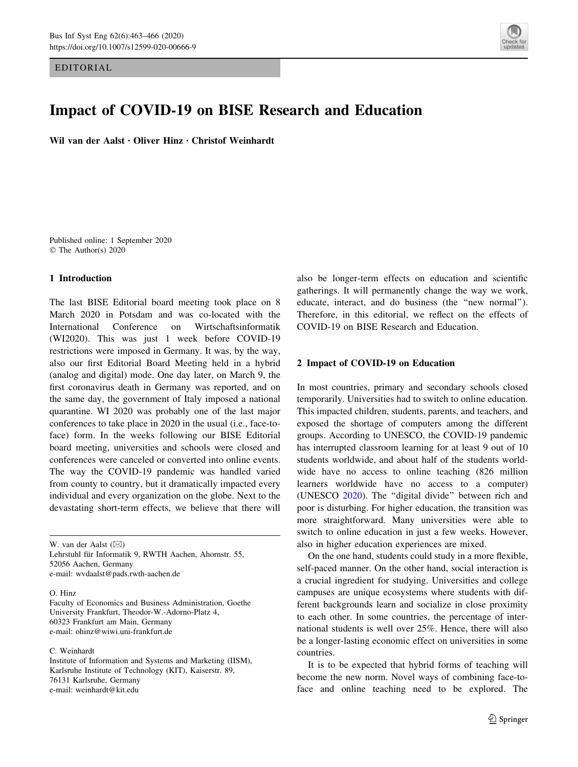EDITORIAL



# Impact of COVID-19 on BISE Research and Education

Wil van der Aalst • Oliver Hinz • Christof Weinhardt

Published online: 1 September 2020 © The Author(s) 2020

## 1 Introduction

The last BISE Editorial board meeting took place on 8 March 2020 in Potsdam and was co-located with the International Conference on Wirtschaftsinformatik (WI2020). This was just 1 week before COVID-19 restrictions were imposed in Germany. It was, by the way, also our first Editorial Board Meeting held in a hybrid (analog and digital) mode. One day later, on March 9, the first coronavirus death in Germany was reported, and on the same day, the government of Italy imposed a national quarantine. WI 2020 was probably one of the last major conferences to take place in 2020 in the usual (i.e., face-toface) form. In the weeks following our BISE Editorial board meeting, universities and schools were closed and conferences were canceled or converted into online events. The way the COVID-19 pandemic was handled varied from county to country, but it dramatically impacted every individual and every organization on the globe. Next to the devastating short-term effects, we believe that there will

W. van der Aalst  $(\boxtimes)$ Lehrstuhl für Informatik 9, RWTH Aachen, Ahornstr. 55, 52056 Aachen, Germany

e-mail: wvdaalst@pads.rwth-aachen.de

O. Hinz

Faculty of Economics and Business Administration, Goethe University Frankfurt, Theodor-W.-Adorno-Platz 4, 60323 Frankfurt am Main, Germany e-mail: ohinz@wiwi.uni-frankfurt.de

#### C. Weinhardt

Institute of Information and Systems and Marketing (IISM), Karlsruhe Institute of Technology (KIT), Kaiserstr. 89, 76131 Karlsruhe, Germany e-mail: weinhardt@kit.edu

also be longer-term effects on education and scientific gatherings. It will permanently change the way we work, educate, interact, and do business (the ''new normal''). Therefore, in this editorial, we reflect on the effects of COVID-19 on BISE Research and Education.

## 2 Impact of COVID-19 on Education

In most countries, primary and secondary schools closed temporarily. Universities had to switch to online education. This impacted children, students, parents, and teachers, and exposed the shortage of computers among the different groups. According to UNESCO, the COVID-19 pandemic has interrupted classroom learning for at least 9 out of 10 students worldwide, and about half of the students worldwide have no access to online teaching (826 million learners worldwide have no access to a computer) (UNESCO [2020](#page-3-0)). The ''digital divide'' between rich and poor is disturbing. For higher education, the transition was more straightforward. Many universities were able to switch to online education in just a few weeks. However, also in higher education experiences are mixed.

On the one hand, students could study in a more flexible, self-paced manner. On the other hand, social interaction is a crucial ingredient for studying. Universities and college campuses are unique ecosystems where students with different backgrounds learn and socialize in close proximity to each other. In some countries, the percentage of international students is well over 25%. Hence, there will also be a longer-lasting economic effect on universities in some countries.

It is to be expected that hybrid forms of teaching will become the new norm. Novel ways of combining face-toface and online teaching need to be explored. The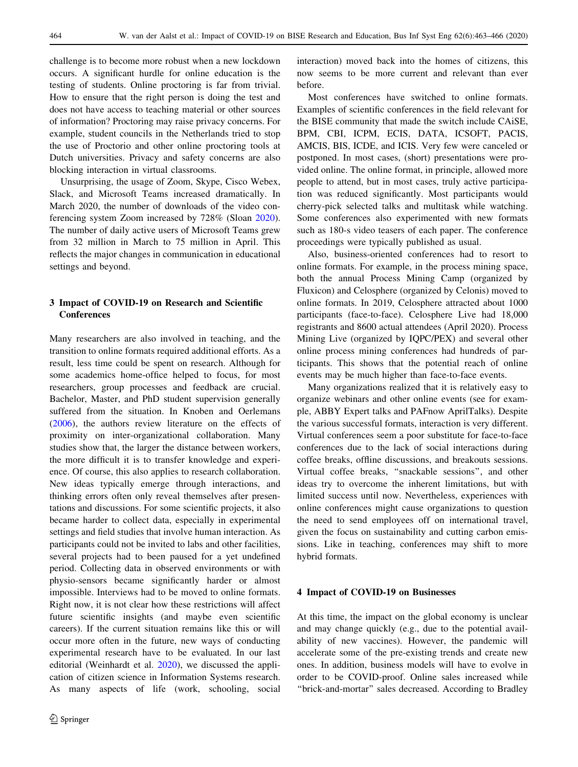challenge is to become more robust when a new lockdown occurs. A significant hurdle for online education is the testing of students. Online proctoring is far from trivial. How to ensure that the right person is doing the test and does not have access to teaching material or other sources of information? Proctoring may raise privacy concerns. For example, student councils in the Netherlands tried to stop the use of Proctorio and other online proctoring tools at Dutch universities. Privacy and safety concerns are also blocking interaction in virtual classrooms.

Unsurprising, the usage of Zoom, Skype, Cisco Webex, Slack, and Microsoft Teams increased dramatically. In March 2020, the number of downloads of the video conferencing system Zoom increased by 728% (Sloan [2020](#page-3-0)). The number of daily active users of Microsoft Teams grew from 32 million in March to 75 million in April. This reflects the major changes in communication in educational settings and beyond.

## 3 Impact of COVID-19 on Research and Scientific **Conferences**

Many researchers are also involved in teaching, and the transition to online formats required additional efforts. As a result, less time could be spent on research. Although for some academics home-office helped to focus, for most researchers, group processes and feedback are crucial. Bachelor, Master, and PhD student supervision generally suffered from the situation. In Knoben and Oerlemans [\(2006](#page-3-0)), the authors review literature on the effects of proximity on inter-organizational collaboration. Many studies show that, the larger the distance between workers, the more difficult it is to transfer knowledge and experience. Of course, this also applies to research collaboration. New ideas typically emerge through interactions, and thinking errors often only reveal themselves after presentations and discussions. For some scientific projects, it also became harder to collect data, especially in experimental settings and field studies that involve human interaction. As participants could not be invited to labs and other facilities, several projects had to been paused for a yet undefined period. Collecting data in observed environments or with physio-sensors became significantly harder or almost impossible. Interviews had to be moved to online formats. Right now, it is not clear how these restrictions will affect future scientific insights (and maybe even scientific careers). If the current situation remains like this or will occur more often in the future, new ways of conducting experimental research have to be evaluated. In our last editorial (Weinhardt et al. [2020](#page-3-0)), we discussed the application of citizen science in Information Systems research. As many aspects of life (work, schooling, social interaction) moved back into the homes of citizens, this now seems to be more current and relevant than ever before.

Most conferences have switched to online formats. Examples of scientific conferences in the field relevant for the BISE community that made the switch include CAiSE, BPM, CBI, ICPM, ECIS, DATA, ICSOFT, PACIS, AMCIS, BIS, ICDE, and ICIS. Very few were canceled or postponed. In most cases, (short) presentations were provided online. The online format, in principle, allowed more people to attend, but in most cases, truly active participation was reduced significantly. Most participants would cherry-pick selected talks and multitask while watching. Some conferences also experimented with new formats such as 180-s video teasers of each paper. The conference proceedings were typically published as usual.

Also, business-oriented conferences had to resort to online formats. For example, in the process mining space, both the annual Process Mining Camp (organized by Fluxicon) and Celosphere (organized by Celonis) moved to online formats. In 2019, Celosphere attracted about 1000 participants (face-to-face). Celosphere Live had 18,000 registrants and 8600 actual attendees (April 2020). Process Mining Live (organized by IQPC/PEX) and several other online process mining conferences had hundreds of participants. This shows that the potential reach of online events may be much higher than face-to-face events.

Many organizations realized that it is relatively easy to organize webinars and other online events (see for example, ABBY Expert talks and PAFnow AprilTalks). Despite the various successful formats, interaction is very different. Virtual conferences seem a poor substitute for face-to-face conferences due to the lack of social interactions during coffee breaks, offline discussions, and breakouts sessions. Virtual coffee breaks, ''snackable sessions'', and other ideas try to overcome the inherent limitations, but with limited success until now. Nevertheless, experiences with online conferences might cause organizations to question the need to send employees off on international travel, given the focus on sustainability and cutting carbon emissions. Like in teaching, conferences may shift to more hybrid formats.

#### 4 Impact of COVID-19 on Businesses

At this time, the impact on the global economy is unclear and may change quickly (e.g., due to the potential availability of new vaccines). However, the pandemic will accelerate some of the pre-existing trends and create new ones. In addition, business models will have to evolve in order to be COVID-proof. Online sales increased while "brick-and-mortar" sales decreased. According to Bradley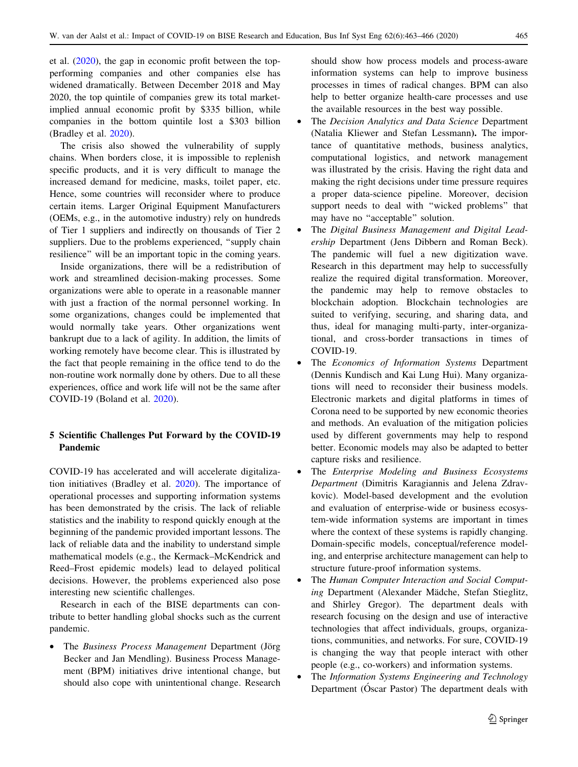et al. [\(2020](#page-3-0)), the gap in economic profit between the topperforming companies and other companies else has widened dramatically. Between December 2018 and May 2020, the top quintile of companies grew its total marketimplied annual economic profit by \$335 billion, while companies in the bottom quintile lost a \$303 billion (Bradley et al. [2020](#page-3-0)).

The crisis also showed the vulnerability of supply chains. When borders close, it is impossible to replenish specific products, and it is very difficult to manage the increased demand for medicine, masks, toilet paper, etc. Hence, some countries will reconsider where to produce certain items. Larger Original Equipment Manufacturers (OEMs, e.g., in the automotive industry) rely on hundreds of Tier 1 suppliers and indirectly on thousands of Tier 2 suppliers. Due to the problems experienced, "supply chain resilience'' will be an important topic in the coming years.

Inside organizations, there will be a redistribution of work and streamlined decision-making processes. Some organizations were able to operate in a reasonable manner with just a fraction of the normal personnel working. In some organizations, changes could be implemented that would normally take years. Other organizations went bankrupt due to a lack of agility. In addition, the limits of working remotely have become clear. This is illustrated by the fact that people remaining in the office tend to do the non-routine work normally done by others. Due to all these experiences, office and work life will not be the same after COVID-19 (Boland et al. [2020](#page-3-0)).

# 5 Scientific Challenges Put Forward by the COVID-19 Pandemic

COVID-19 has accelerated and will accelerate digitalization initiatives (Bradley et al. [2020\)](#page-3-0). The importance of operational processes and supporting information systems has been demonstrated by the crisis. The lack of reliable statistics and the inability to respond quickly enough at the beginning of the pandemic provided important lessons. The lack of reliable data and the inability to understand simple mathematical models (e.g., the Kermack–McKendrick and Reed–Frost epidemic models) lead to delayed political decisions. However, the problems experienced also pose interesting new scientific challenges.

Research in each of the BISE departments can contribute to better handling global shocks such as the current pandemic.

The Business Process Management Department (Jörg) Becker and Jan Mendling). Business Process Management (BPM) initiatives drive intentional change, but should also cope with unintentional change. Research should show how process models and process-aware information systems can help to improve business processes in times of radical changes. BPM can also help to better organize health-care processes and use the available resources in the best way possible.

- The Decision Analytics and Data Science Department (Natalia Kliewer and Stefan Lessmann). The importance of quantitative methods, business analytics, computational logistics, and network management was illustrated by the crisis. Having the right data and making the right decisions under time pressure requires a proper data-science pipeline. Moreover, decision support needs to deal with ''wicked problems'' that may have no ''acceptable'' solution.
- The Digital Business Management and Digital Leadership Department (Jens Dibbern and Roman Beck). The pandemic will fuel a new digitization wave. Research in this department may help to successfully realize the required digital transformation. Moreover, the pandemic may help to remove obstacles to blockchain adoption. Blockchain technologies are suited to verifying, securing, and sharing data, and thus, ideal for managing multi-party, inter-organizational, and cross-border transactions in times of COVID-19.
- The Economics of Information Systems Department (Dennis Kundisch and Kai Lung Hui). Many organizations will need to reconsider their business models. Electronic markets and digital platforms in times of Corona need to be supported by new economic theories and methods. An evaluation of the mitigation policies used by different governments may help to respond better. Economic models may also be adapted to better capture risks and resilience.
- The *Enterprise Modeling and Business Ecosystems* Department (Dimitris Karagiannis and Jelena Zdravkovic). Model-based development and the evolution and evaluation of enterprise-wide or business ecosystem-wide information systems are important in times where the context of these systems is rapidly changing. Domain-specific models, conceptual/reference modeling, and enterprise architecture management can help to structure future-proof information systems.
- The Human Computer Interaction and Social Computing Department (Alexander Mädche, Stefan Stieglitz, and Shirley Gregor). The department deals with research focusing on the design and use of interactive technologies that affect individuals, groups, organizations, communities, and networks. For sure, COVID-19 is changing the way that people interact with other people (e.g., co-workers) and information systems.
- The Information Systems Engineering and Technology Department (Oscar Pastor) The department deals with